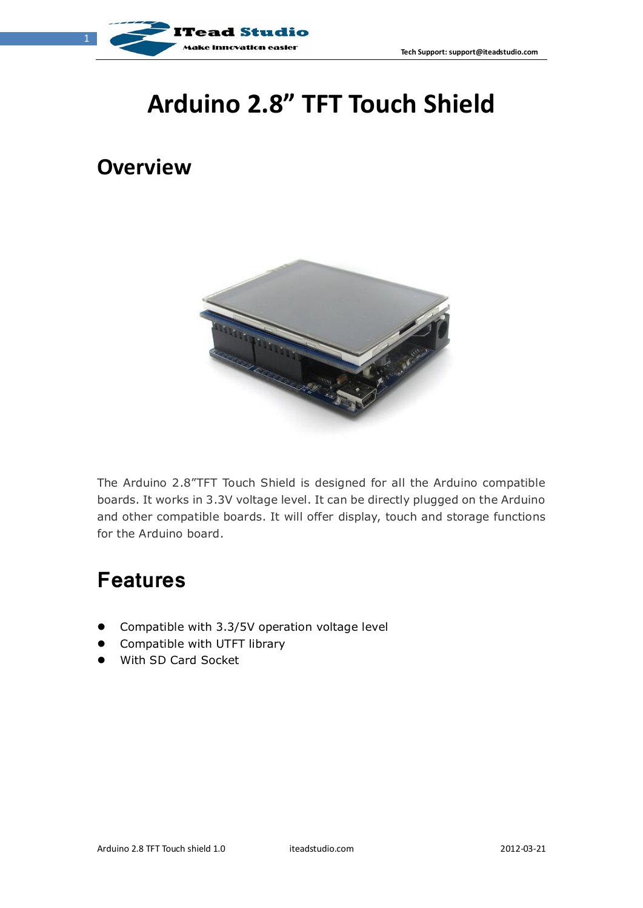



# **Arduino 2.8" TFT Touch Shield**

#### **Overview**



The Arduino 2.8"TFT Touch Shield is designed for all the Arduino compatible boards. It works in 3.3V voltage level. It can be directly plugged on the Arduino and other compatible boards. It will offer display, touch and storage functions for the Arduino board.

#### **Features**

- **•** Compatible with 3.3/5V operation voltage level
- **•** Compatible with UTFT library
- With SD Card Socket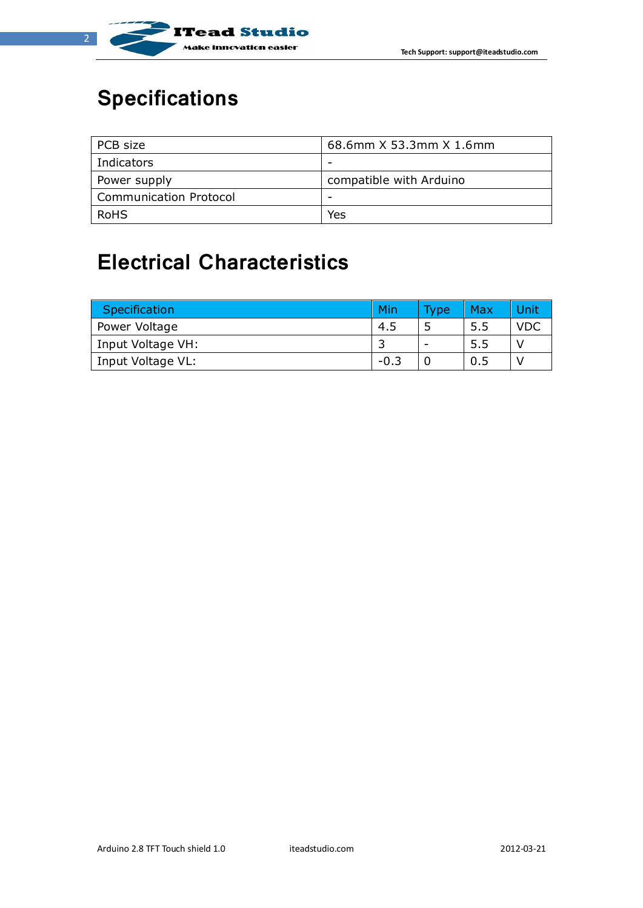

# **Specifications**

| PCB size                      | 68.6mm X 53.3mm X 1.6mm |
|-------------------------------|-------------------------|
| Indicators                    |                         |
| Power supply                  | compatible with Arduino |
| <b>Communication Protocol</b> |                         |
| RoHS                          | Yes                     |

# **Electrical Characteristics**

| Specification     | Min    | <b>Type</b>              | Max | Unit       |
|-------------------|--------|--------------------------|-----|------------|
| Power Voltage     | -4.5   |                          | 5.5 | <b>VDC</b> |
| Input Voltage VH: |        | $\overline{\phantom{0}}$ | 5.5 |            |
| Input Voltage VL: | $-0.3$ |                          | 0.5 |            |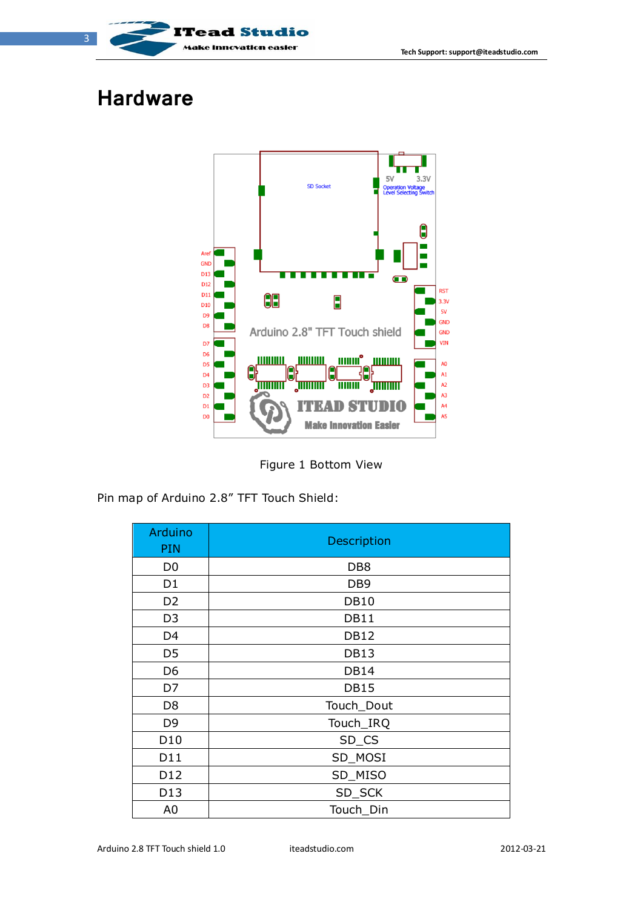

## **Hardware**



Figure 1 Bottom View

Pin map of Arduino 2.8" TFT Touch Shield:

| Arduino<br>PIN  | Description     |
|-----------------|-----------------|
| D <sub>0</sub>  | DB <sub>8</sub> |
| D <sub>1</sub>  | DB <sub>9</sub> |
| D <sub>2</sub>  | <b>DB10</b>     |
| D <sub>3</sub>  | <b>DB11</b>     |
| D <sub>4</sub>  | <b>DB12</b>     |
| D <sub>5</sub>  | <b>DB13</b>     |
| D <sub>6</sub>  | <b>DB14</b>     |
| D7              | <b>DB15</b>     |
| D <sub>8</sub>  | Touch_Dout      |
| D <sub>9</sub>  | Touch_IRQ       |
| D <sub>10</sub> | SD_CS           |
| D11             | SD_MOSI         |
| D <sub>12</sub> | SD_MISO         |
| D <sub>13</sub> | SD_SCK          |
| A <sub>0</sub>  | Touch_Din       |